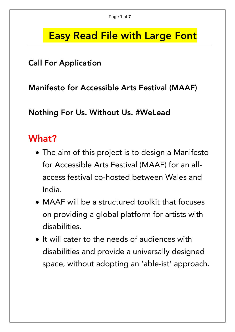### Easy Read File with Large Font

#### Call For Application

Manifesto for Accessible Arts Festival (MAAF)

Nothing For Us. Without Us. #WeLead

### What?

- The aim of this project is to design a Manifesto for Accessible Arts Festival (MAAF) for an allaccess festival co-hosted between Wales and India.
- MAAF will be a structured toolkit that focuses on providing a global platform for artists with disabilities.
- $\bullet$  It will cater to the needs of audiences with disabilities and provide a universally designed space, without adopting an 'able-ist' approach.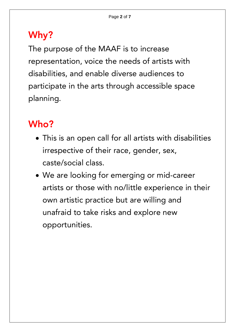# Why?

The purpose of the MAAF is to increase representation, voice the needs of artists with disabilities, and enable diverse audiences to participate in the arts through accessible space planning.

# Who?

- This is an open call for all artists with disabilities irrespective of their race, gender, sex, caste/social class.
- We are looking for emerging or mid-career artists or those with no/little experience in their own artistic practice but are willing and unafraid to take risks and explore new opportunities.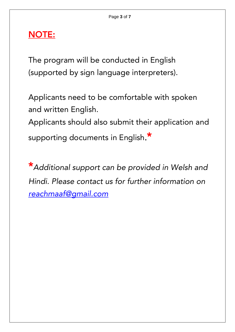#### NOTE:

The program will be conducted in English (supported by sign language interpreters).

Applicants need to be comfortable with spoken and written English. Applicants should also submit their application and supporting documents in English.\*

\**Additional support can be provided in Welsh and Hindi. Please contact us for further information on [reachmaaf@gmail.com](mailto:reachmaaf@gmail.com)*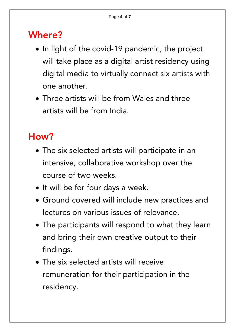### Where?

- In light of the covid-19 pandemic, the project will take place as a digital artist residency using digital media to virtually connect six artists with one another.
- Three artists will be from Wales and three artists will be from India.

# How?

- The six selected artists will participate in an intensive, collaborative workshop over the course of two weeks.
- It will be for four days a week.
- Ground covered will include new practices and lectures on various issues of relevance.
- The participants will respond to what they learn and bring their own creative output to their findings.
- The six selected artists will receive remuneration for their participation in the residency.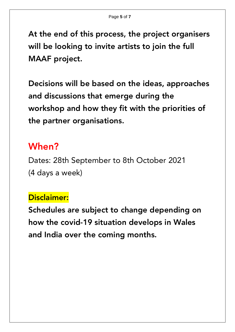At the end of this process, the project organisers will be looking to invite artists to join the full MAAF project.

Decisions will be based on the ideas, approaches and discussions that emerge during the workshop and how they fit with the priorities of the partner organisations.

#### When?

Dates: 28th September to 8th October 2021 (4 days a week)

#### Disclaimer:

Schedules are subject to change depending on how the covid-19 situation develops in Wales and India over the coming months.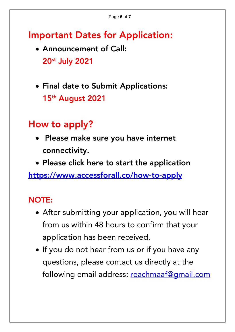## Important Dates for Application:

- Announcement of Call: 20 st July 2021
- Final date to Submit Applications: 15th August 2021

# How to apply?

- Please make sure you have internet connectivity.
- Please click here to start the application

<https://www.accessforall.co/how-to-apply>

### NOTE:

- After submitting your application, you will hear from us within 48 hours to confirm that your application has been received.
- If you do not hear from us or if you have any questions, please contact us directly at the following email address: [reachmaaf@gmail.com](mailto:reachmaaf@gmail.com)